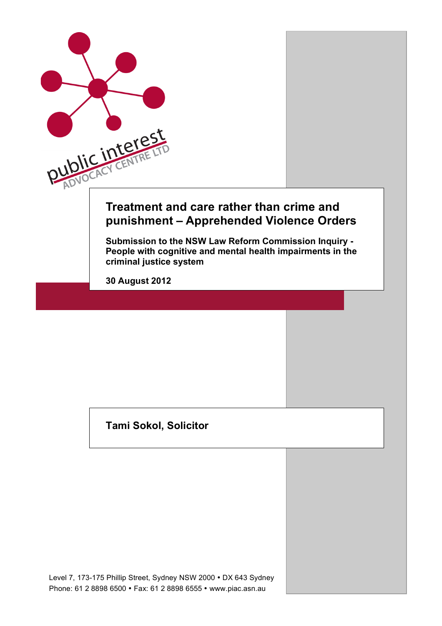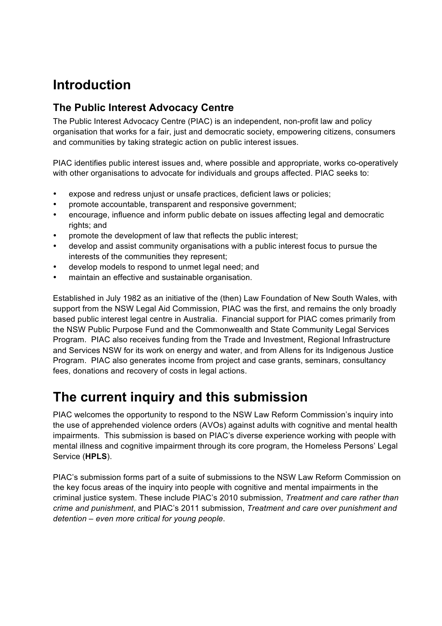# **Introduction**

### **The Public Interest Advocacy Centre**

The Public Interest Advocacy Centre (PIAC) is an independent, non-profit law and policy organisation that works for a fair, just and democratic society, empowering citizens, consumers and communities by taking strategic action on public interest issues.

PIAC identifies public interest issues and, where possible and appropriate, works co-operatively with other organisations to advocate for individuals and groups affected. PIAC seeks to:

- expose and redress unjust or unsafe practices, deficient laws or policies;
- promote accountable, transparent and responsive government;
- encourage, influence and inform public debate on issues affecting legal and democratic rights; and
- promote the development of law that reflects the public interest;
- develop and assist community organisations with a public interest focus to pursue the interests of the communities they represent;
- develop models to respond to unmet legal need; and
- maintain an effective and sustainable organisation.

Established in July 1982 as an initiative of the (then) Law Foundation of New South Wales, with support from the NSW Legal Aid Commission, PIAC was the first, and remains the only broadly based public interest legal centre in Australia. Financial support for PIAC comes primarily from the NSW Public Purpose Fund and the Commonwealth and State Community Legal Services Program. PIAC also receives funding from the Trade and Investment, Regional Infrastructure and Services NSW for its work on energy and water, and from Allens for its Indigenous Justice Program. PIAC also generates income from project and case grants, seminars, consultancy fees, donations and recovery of costs in legal actions.

### **The current inquiry and this submission**

PIAC welcomes the opportunity to respond to the NSW Law Reform Commission's inquiry into the use of apprehended violence orders (AVOs) against adults with cognitive and mental health impairments. This submission is based on PIAC's diverse experience working with people with mental illness and cognitive impairment through its core program, the Homeless Persons' Legal Service (**HPLS**).

PIAC's submission forms part of a suite of submissions to the NSW Law Reform Commission on the key focus areas of the inquiry into people with cognitive and mental impairments in the criminal justice system. These include PIAC's 2010 submission, *Treatment and care rather than crime and punishment*, and PIAC's 2011 submission, *Treatment and care over punishment and detention – even more critical for young people*.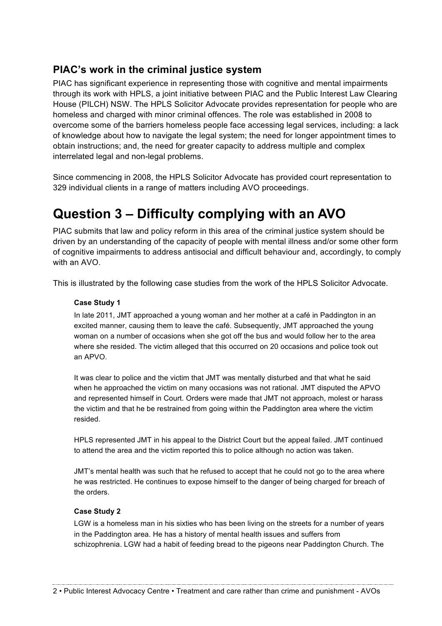### **PIAC's work in the criminal justice system**

PIAC has significant experience in representing those with cognitive and mental impairments through its work with HPLS, a joint initiative between PIAC and the Public Interest Law Clearing House (PILCH) NSW. The HPLS Solicitor Advocate provides representation for people who are homeless and charged with minor criminal offences. The role was established in 2008 to overcome some of the barriers homeless people face accessing legal services, including: a lack of knowledge about how to navigate the legal system; the need for longer appointment times to obtain instructions; and, the need for greater capacity to address multiple and complex interrelated legal and non-legal problems.

Since commencing in 2008, the HPLS Solicitor Advocate has provided court representation to 329 individual clients in a range of matters including AVO proceedings.

## **Question 3 – Difficulty complying with an AVO**

PIAC submits that law and policy reform in this area of the criminal justice system should be driven by an understanding of the capacity of people with mental illness and/or some other form of cognitive impairments to address antisocial and difficult behaviour and, accordingly, to comply with an AVO.

This is illustrated by the following case studies from the work of the HPLS Solicitor Advocate.

#### **Case Study 1**

In late 2011, JMT approached a young woman and her mother at a café in Paddington in an excited manner, causing them to leave the café. Subsequently, JMT approached the young woman on a number of occasions when she got off the bus and would follow her to the area where she resided. The victim alleged that this occurred on 20 occasions and police took out an APVO.

It was clear to police and the victim that JMT was mentally disturbed and that what he said when he approached the victim on many occasions was not rational. JMT disputed the APVO and represented himself in Court. Orders were made that JMT not approach, molest or harass the victim and that he be restrained from going within the Paddington area where the victim resided.

HPLS represented JMT in his appeal to the District Court but the appeal failed. JMT continued to attend the area and the victim reported this to police although no action was taken.

JMT's mental health was such that he refused to accept that he could not go to the area where he was restricted. He continues to expose himself to the danger of being charged for breach of the orders.

#### **Case Study 2**

LGW is a homeless man in his sixties who has been living on the streets for a number of years in the Paddington area. He has a history of mental health issues and suffers from schizophrenia. LGW had a habit of feeding bread to the pigeons near Paddington Church. The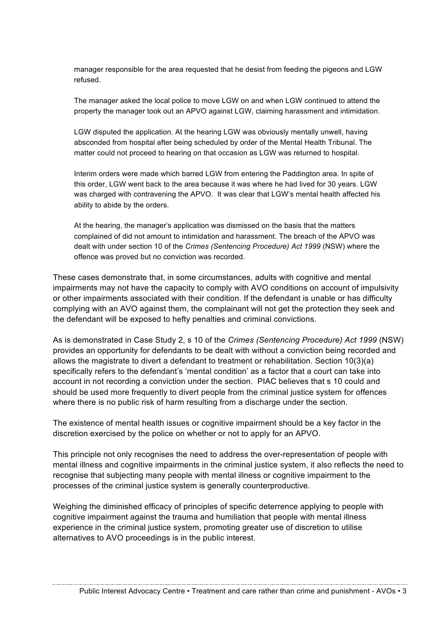manager responsible for the area requested that he desist from feeding the pigeons and LGW refused.

The manager asked the local police to move LGW on and when LGW continued to attend the property the manager took out an APVO against LGW, claiming harassment and intimidation.

LGW disputed the application. At the hearing LGW was obviously mentally unwell, having absconded from hospital after being scheduled by order of the Mental Health Tribunal. The matter could not proceed to hearing on that occasion as LGW was returned to hospital.

Interim orders were made which barred LGW from entering the Paddington area. In spite of this order, LGW went back to the area because it was where he had lived for 30 years. LGW was charged with contravening the APVO. It was clear that LGW's mental health affected his ability to abide by the orders.

At the hearing, the manager's application was dismissed on the basis that the matters complained of did not amount to intimidation and harassment. The breach of the APVO was dealt with under section 10 of the *Crimes (Sentencing Procedure) Act 1999* (NSW) where the offence was proved but no conviction was recorded.

These cases demonstrate that, in some circumstances, adults with cognitive and mental impairments may not have the capacity to comply with AVO conditions on account of impulsivity or other impairments associated with their condition. If the defendant is unable or has difficulty complying with an AVO against them, the complainant will not get the protection they seek and the defendant will be exposed to hefty penalties and criminal convictions.

As is demonstrated in Case Study 2, s 10 of the *Crimes (Sentencing Procedure) Act 1999* (NSW) provides an opportunity for defendants to be dealt with without a conviction being recorded and allows the magistrate to divert a defendant to treatment or rehabilitation. Section 10(3)(a) specifically refers to the defendant's 'mental condition' as a factor that a court can take into account in not recording a conviction under the section. PIAC believes that s 10 could and should be used more frequently to divert people from the criminal justice system for offences where there is no public risk of harm resulting from a discharge under the section.

The existence of mental health issues or cognitive impairment should be a key factor in the discretion exercised by the police on whether or not to apply for an APVO.

This principle not only recognises the need to address the over-representation of people with mental illness and cognitive impairments in the criminal justice system, it also reflects the need to recognise that subjecting many people with mental illness or cognitive impairment to the processes of the criminal justice system is generally counterproductive.

Weighing the diminished efficacy of principles of specific deterrence applying to people with cognitive impairment against the trauma and humiliation that people with mental illness experience in the criminal justice system, promoting greater use of discretion to utilise alternatives to AVO proceedings is in the public interest.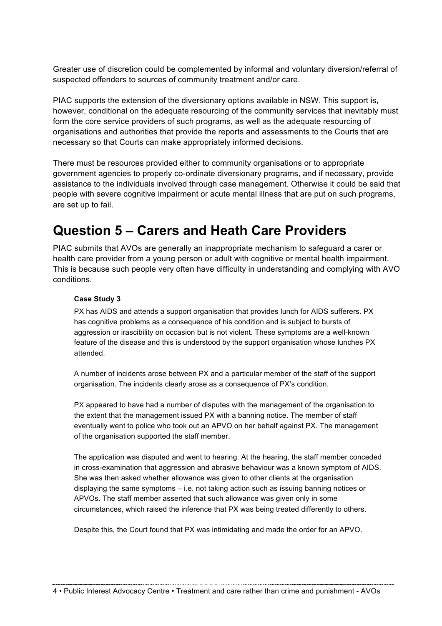Greater use of discretion could be complemented by informal and voluntary diversion/referral of suspected offenders to sources of community treatment and/or care.

PIAC supports the extension of the diversionary options available in NSW. This support is, however, conditional on the adequate resourcing of the community services that inevitably must form the core service providers of such programs, as well as the adequate resourcing of organisations and authorities that provide the reports and assessments to the Courts that are necessary so that Courts can make appropriately informed decisions.

There must be resources provided either to community organisations or to appropriate government agencies to properly co-ordinate diversionary programs, and if necessary, provide assistance to the individuals involved through case management. Otherwise it could be said that people with severe cognitive impairment or acute mental illness that are put on such programs, are set up to fail.

## **Question 5 – Carers and Heath Care Providers**

PIAC submits that AVOs are generally an inappropriate mechanism to safeguard a carer or health care provider from a young person or adult with cognitive or mental health impairment. This is because such people very often have difficulty in understanding and complying with AVO conditions.

#### **Case Study 3**

PX has AIDS and attends a support organisation that provides lunch for AIDS sufferers. PX has cognitive problems as a consequence of his condition and is subject to bursts of aggression or irascibility on occasion but is not violent. These symptoms are a well-known feature of the disease and this is understood by the support organisation whose lunches PX attended.

A number of incidents arose between PX and a particular member of the staff of the support organisation. The incidents clearly arose as a consequence of PX's condition.

PX appeared to have had a number of disputes with the management of the organisation to the extent that the management issued PX with a banning notice. The member of staff eventually went to police who took out an APVO on her behalf against PX. The management of the organisation supported the staff member.

The application was disputed and went to hearing. At the hearing, the staff member conceded in cross-examination that aggression and abrasive behaviour was a known symptom of AIDS. She was then asked whether allowance was given to other clients at the organisation displaying the same symptoms – i.e. not taking action such as issuing banning notices or APVOs. The staff member asserted that such allowance was given only in some circumstances, which raised the inference that PX was being treated differently to others.

Despite this, the Court found that PX was intimidating and made the order for an APVO.